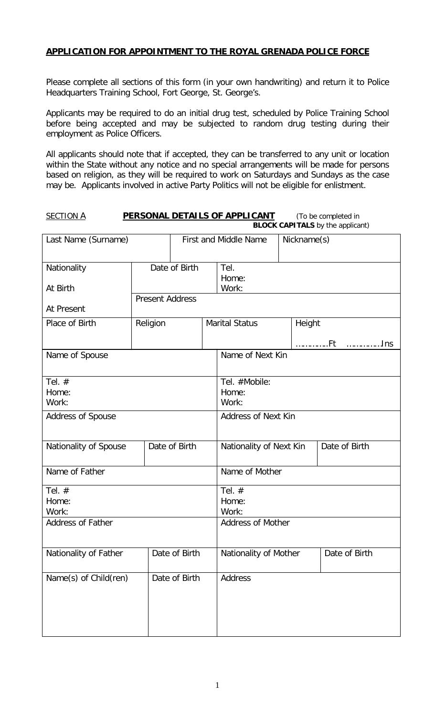# **APPLICATION FOR APPOINTMENT TO THE ROYAL GRENADA POLICE FORCE**

Please complete all sections of this form (in your own handwriting) and return it to Police Headquarters Training School, Fort George, St. George's.

Applicants may be required to do an initial drug test, scheduled by Police Training School before being accepted and may be subjected to random drug testing during their employment as Police Officers.

All applicants should note that if accepted, they can be transferred to any unit or location within the State without any notice and no special arrangements will be made for persons based on religion, as they will be required to work on Saturdays and Sundays as the case may be. Applicants involved in active Party Politics will not be eligible for enlistment.

#### **SECTION A PERSONAL DETAILS OF APPLICANT** (To be completed in **BLOCK CAPITALS** by the applicant)

| Last Name (Surname)        |                        | <b>First and Middle Name</b>    |                            | Nickname(s)                |  |               |
|----------------------------|------------------------|---------------------------------|----------------------------|----------------------------|--|---------------|
| Nationality<br>At Birth    | Date of Birth          |                                 | Tel.<br>Home:<br>Work:     |                            |  |               |
| At Present                 | <b>Present Address</b> |                                 |                            |                            |  |               |
| Place of Birth             | Religion               |                                 | <b>Marital Status</b>      | Height                     |  |               |
| Name of Spouse             |                        |                                 |                            | Name of Next Kin           |  |               |
| Tel. $#$<br>Home:<br>Work: |                        | Tel. #Mobile:<br>Home:<br>Work: |                            |                            |  |               |
| Address of Spouse          |                        |                                 |                            | <b>Address of Next Kin</b> |  |               |
| Nationality of Spouse      |                        | Date of Birth                   |                            | Nationality of Next Kin    |  | Date of Birth |
| Name of Father             |                        | Name of Mother                  |                            |                            |  |               |
| Tel. $#$<br>Home:<br>Work: |                        |                                 | Tel. $#$<br>Home:<br>Work: |                            |  |               |
| <b>Address of Father</b>   |                        |                                 |                            | <b>Address of Mother</b>   |  |               |
| Nationality of Father      |                        | Date of Birth                   |                            | Nationality of Mother      |  | Date of Birth |
| Name(s) of Child(ren)      |                        | Date of Birth                   |                            | Address                    |  |               |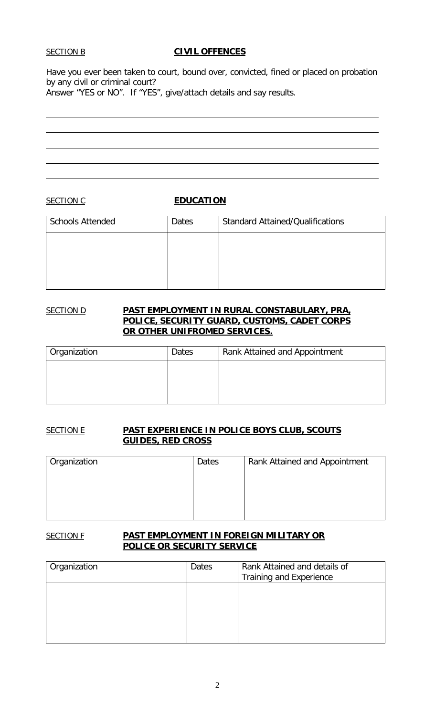### **SECTION B CIVIL OFFENCES**

Have you ever been taken to court, bound over, convicted, fined or placed on probation by any civil or criminal court?

Answer "YES or NO". If "YES", give/attach details and say results.

**SECTION C EDUCATION** 

| <b>Schools Attended</b> | Dates | <b>Standard Attained/Qualifications</b> |
|-------------------------|-------|-----------------------------------------|
|                         |       |                                         |
|                         |       |                                         |
|                         |       |                                         |
|                         |       |                                         |

### SECTION D **PAST EMPLOYMENT IN RURAL CONSTABULARY, PRA, POLICE, SECURITY GUARD, CUSTOMS, CADET CORPS OR OTHER UNIFROMED SERVICES.**

| Organization | Dates | Rank Attained and Appointment |
|--------------|-------|-------------------------------|
|              |       |                               |
|              |       |                               |
|              |       |                               |

## SECTION E **PAST EXPERIENCE IN POLICE BOYS CLUB, SCOUTS GUIDES, RED CROSS**

| <sup>1</sup> Organization | Dates | Rank Attained and Appointment |
|---------------------------|-------|-------------------------------|
|                           |       |                               |
|                           |       |                               |
|                           |       |                               |
|                           |       |                               |

## SECTION F **PAST EMPLOYMENT IN FOREIGN MILITARY OR POLICE OR SECURITY SERVICE**

| Organization | Dates | Rank Attained and details of<br>Training and Experience |
|--------------|-------|---------------------------------------------------------|
|              |       |                                                         |
|              |       |                                                         |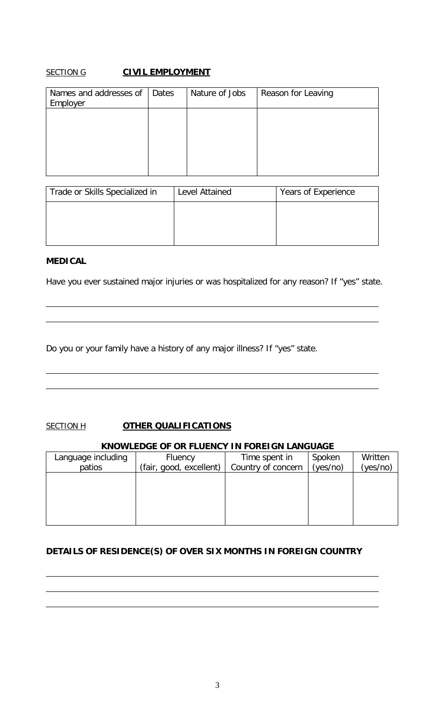# **SECTION G CIVIL EMPLOYMENT**

| Names and addresses of<br>Employer | Dates | Nature of Jobs | Reason for Leaving |
|------------------------------------|-------|----------------|--------------------|
|                                    |       |                |                    |
|                                    |       |                |                    |
|                                    |       |                |                    |

| Trade or Skills Specialized in | Level Attained | Years of Experience |
|--------------------------------|----------------|---------------------|
|                                |                |                     |
|                                |                |                     |
|                                |                |                     |

## **MEDICAL**

Have you ever sustained major injuries or was hospitalized for any reason? If "yes" state.

Do you or your family have a history of any major illness? If "yes" state.

## **SECTION H OTHER QUALIFICATIONS**

#### **KNOWLEDGE OF OR FLUENCY IN FOREIGN LANGUAGE**

| Language including | Fluency                 | Time spent in      | Spoken   | Written  |
|--------------------|-------------------------|--------------------|----------|----------|
| patios             | (fair, good, excellent) | Country of concern | (yes/no) | (yes/no) |
|                    |                         |                    |          |          |
|                    |                         |                    |          |          |
|                    |                         |                    |          |          |
|                    |                         |                    |          |          |
|                    |                         |                    |          |          |

## **DETAILS OF RESIDENCE(S) OF OVER SIX MONTHS IN FOREIGN COUNTRY**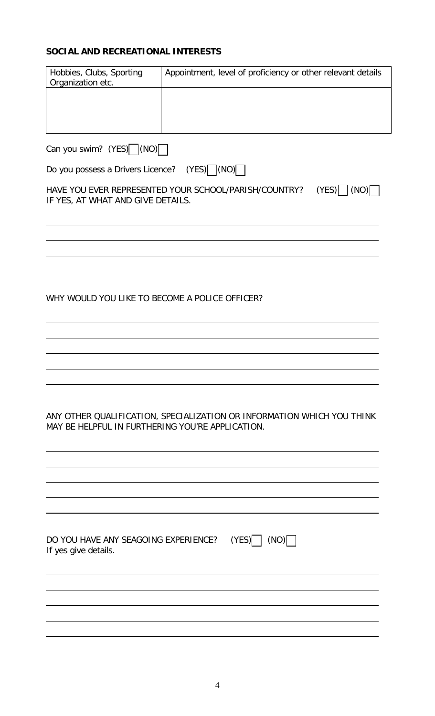# **SOCIAL AND RECREATIONAL INTERESTS**

| Hobbies, Clubs, Sporting<br>Organization etc.                | Appointment, level of proficiency or other relevant details               |
|--------------------------------------------------------------|---------------------------------------------------------------------------|
|                                                              |                                                                           |
|                                                              |                                                                           |
| Can you swim? (YES) (NO)                                     |                                                                           |
| Do you possess a Drivers Licence?                            | $(YES)$ $(NO)$                                                            |
| IF YES, AT WHAT AND GIVE DETAILS.                            | $(YES)$ $ (NO) $<br>HAVE YOU EVER REPRESENTED YOUR SCHOOL/PARISH/COUNTRY? |
|                                                              |                                                                           |
|                                                              |                                                                           |
|                                                              |                                                                           |
| WHY WOULD YOU LIKE TO BECOME A POLICE OFFICER?               |                                                                           |
|                                                              |                                                                           |
|                                                              |                                                                           |
|                                                              |                                                                           |
|                                                              |                                                                           |
| MAY BE HELPFUL IN FURTHERING YOU'RE APPLICATION.             | ANY OTHER QUALIFICATION, SPECIALIZATION OR INFORMATION WHICH YOU THINK    |
|                                                              |                                                                           |
|                                                              |                                                                           |
|                                                              |                                                                           |
|                                                              |                                                                           |
| DO YOU HAVE ANY SEAGOING EXPERIENCE?<br>If yes give details. | $(YES)$ $(NO)$                                                            |
|                                                              |                                                                           |
|                                                              |                                                                           |
|                                                              |                                                                           |